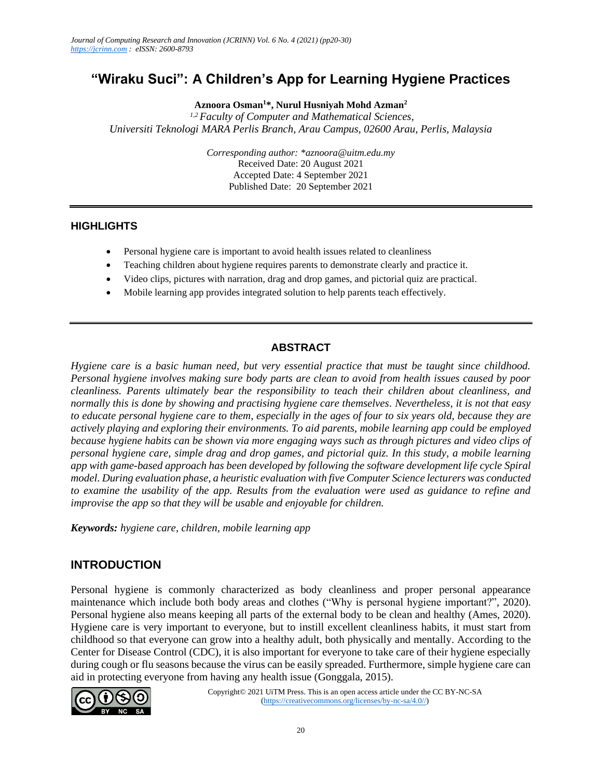# **"Wiraku Suci": A Children's App for Learning Hygiene Practices**

**Aznoora Osman<sup>1</sup>\*, Nurul Husniyah Mohd Azman<sup>2</sup>**

*1,2 Faculty of Computer and Mathematical Sciences, Universiti Teknologi MARA Perlis Branch, Arau Campus, 02600 Arau, Perlis, Malaysia*

> *Corresponding author: \*aznoora@uitm.edu.my* Received Date: 20 August 2021 Accepted Date: 4 September 2021 Published Date: 20 September 2021

#### **HIGHLIGHTS**

- Personal hygiene care is important to avoid health issues related to cleanliness
- Teaching children about hygiene requires parents to demonstrate clearly and practice it.
- Video clips, pictures with narration, drag and drop games, and pictorial quiz are practical.
- Mobile learning app provides integrated solution to help parents teach effectively.

#### **ABSTRACT**

*Hygiene care is a basic human need, but very essential practice that must be taught since childhood. Personal hygiene involves making sure body parts are clean to avoid from health issues caused by poor cleanliness. Parents ultimately bear the responsibility to teach their children about cleanliness, and normally this is done by showing and practising hygiene care themselves. Nevertheless, it is not that easy to educate personal hygiene care to them, especially in the ages of four to six years old, because they are actively playing and exploring their environments. To aid parents, mobile learning app could be employed because hygiene habits can be shown via more engaging ways such as through pictures and video clips of personal hygiene care, simple drag and drop games, and pictorial quiz. In this study, a mobile learning app with game-based approach has been developed by following the software development life cycle Spiral model. During evaluation phase, a heuristic evaluation with five Computer Science lecturers was conducted to examine the usability of the app. Results from the evaluation were used as guidance to refine and improvise the app so that they will be usable and enjoyable for children.* 

*Keywords: hygiene care, children, mobile learning app*

### **INTRODUCTION**

Personal hygiene is commonly characterized as body cleanliness and proper personal appearance maintenance which include both body areas and clothes ("Why is personal hygiene important?", 2020). Personal hygiene also means keeping all parts of the external body to be clean and healthy (Ames, 2020). Hygiene care is very important to everyone, but to instill excellent cleanliness habits, it must start from childhood so that everyone can grow into a healthy adult, both physically and mentally. According to the Center for Disease Control (CDC), it is also important for everyone to take care of their hygiene especially during cough or flu seasons because the virus can be easily spreaded. Furthermore, simple hygiene care can aid in protecting everyone from having any health issue (Gonggala, 2015).

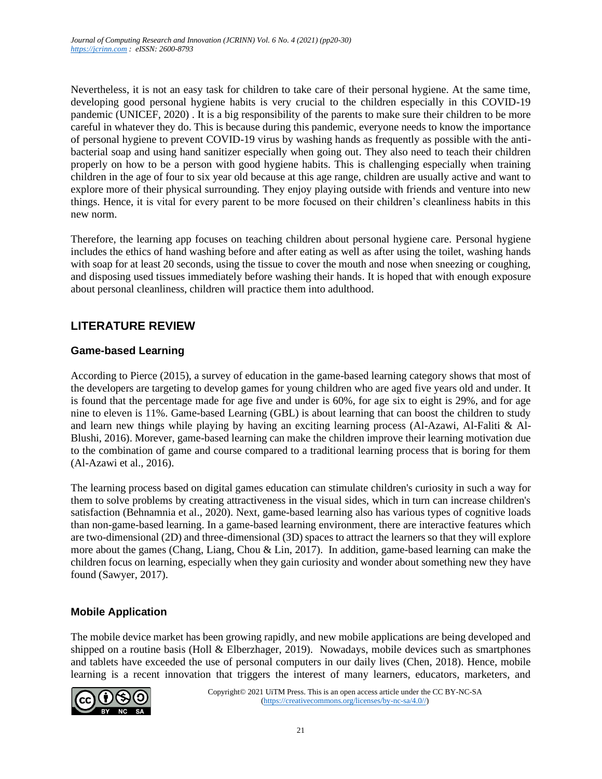Nevertheless, it is not an easy task for children to take care of their personal hygiene. At the same time, developing good personal hygiene habits is very crucial to the children especially in this COVID-19 pandemic (UNICEF, 2020) . It is a big responsibility of the parents to make sure their children to be more careful in whatever they do. This is because during this pandemic, everyone needs to know the importance of personal hygiene to prevent COVID-19 virus by washing hands as frequently as possible with the antibacterial soap and using hand sanitizer especially when going out. They also need to teach their children properly on how to be a person with good hygiene habits. This is challenging especially when training children in the age of four to six year old because at this age range, children are usually active and want to explore more of their physical surrounding. They enjoy playing outside with friends and venture into new things. Hence, it is vital for every parent to be more focused on their children's cleanliness habits in this new norm.

Therefore, the learning app focuses on teaching children about personal hygiene care. Personal hygiene includes the ethics of hand washing before and after eating as well as after using the toilet, washing hands with soap for at least 20 seconds, using the tissue to cover the mouth and nose when sneezing or coughing, and disposing used tissues immediately before washing their hands. It is hoped that with enough exposure about personal cleanliness, children will practice them into adulthood.

# **LITERATURE REVIEW**

### **Game-based Learning**

According to Pierce (2015), a survey of education in the game-based learning category shows that most of the developers are targeting to develop games for young children who are aged five years old and under. It is found that the percentage made for age five and under is 60%, for age six to eight is 29%, and for age nine to eleven is 11%. Game-based Learning (GBL) is about learning that can boost the children to study and learn new things while playing by having an exciting learning process (Al-Azawi, Al-Faliti & Al-Blushi, 2016). Morever, game-based learning can make the children improve their learning motivation due to the combination of game and course compared to a traditional learning process that is boring for them (Al-Azawi et al., 2016).

The learning process based on digital games education can stimulate children's curiosity in such a way for them to solve problems by creating attractiveness in the visual sides, which in turn can increase children's satisfaction (Behnamnia et al., 2020). Next, game-based learning also has various types of cognitive loads than non-game-based learning. In a game-based learning environment, there are interactive features which are two-dimensional (2D) and three-dimensional (3D) spaces to attract the learners so that they will explore more about the games (Chang, Liang, Chou & Lin, 2017). In addition, game-based learning can make the children focus on learning, especially when they gain curiosity and wonder about something new they have found (Sawyer, 2017).

### **Mobile Application**

The mobile device market has been growing rapidly, and new mobile applications are being developed and shipped on a routine basis (Holl & Elberzhager, 2019). Nowadays, mobile devices such as smartphones and tablets have exceeded the use of personal computers in our daily lives (Chen, 2018). Hence, mobile learning is a recent innovation that triggers the interest of many learners, educators, marketers, and

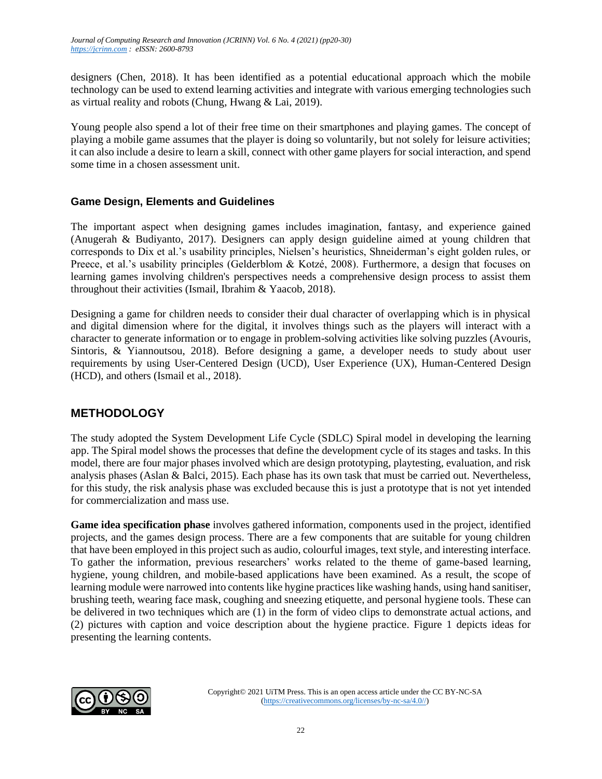designers (Chen, 2018). It has been identified as a potential educational approach which the mobile technology can be used to extend learning activities and integrate with various emerging technologies such as virtual reality and robots (Chung, Hwang & Lai, 2019).

Young people also spend a lot of their free time on their smartphones and playing games. The concept of playing a mobile game assumes that the player is doing so voluntarily, but not solely for leisure activities; it can also include a desire to learn a skill, connect with other game players for social interaction, and spend some time in a chosen assessment unit.

#### **Game Design, Elements and Guidelines**

The important aspect when designing games includes imagination, fantasy, and experience gained (Anugerah & Budiyanto, 2017). Designers can apply design guideline aimed at young children that corresponds to Dix et al.'s usability principles, Nielsen's heuristics, Shneiderman's eight golden rules, or Preece, et al.'s usability principles (Gelderblom & Kotzé, 2008). Furthermore, a design that focuses on learning games involving children's perspectives needs a comprehensive design process to assist them throughout their activities (Ismail, Ibrahim & Yaacob, 2018).

Designing a game for children needs to consider their dual character of overlapping which is in physical and digital dimension where for the digital, it involves things such as the players will interact with a character to generate information or to engage in problem-solving activities like solving puzzles (Avouris, Sintoris, & Yiannoutsou, 2018). Before designing a game, a developer needs to study about user requirements by using User-Centered Design (UCD), User Experience (UX), Human-Centered Design (HCD), and others (Ismail et al., 2018).

### **METHODOLOGY**

The study adopted the System Development Life Cycle (SDLC) Spiral model in developing the learning app. The Spiral model shows the processes that define the development cycle of its stages and tasks. In this model, there are four major phases involved which are design prototyping, playtesting, evaluation, and risk analysis phases (Aslan & Balci, 2015). Each phase has its own task that must be carried out. Nevertheless, for this study, the risk analysis phase was excluded because this is just a prototype that is not yet intended for commercialization and mass use.

**Game idea specification phase** involves gathered information, components used in the project, identified projects, and the games design process. There are a few components that are suitable for young children that have been employed in this project such as audio, colourful images, text style, and interesting interface. To gather the information, previous researchers' works related to the theme of game-based learning, hygiene, young children, and mobile-based applications have been examined. As a result, the scope of learning module were narrowed into contents like hygine practices like washing hands, using hand sanitiser, brushing teeth, wearing face mask, coughing and sneezing etiquette, and personal hygiene tools. These can be delivered in two techniques which are (1) in the form of video clips to demonstrate actual actions, and (2) pictures with caption and voice description about the hygiene practice. Figure 1 depicts ideas for presenting the learning contents.

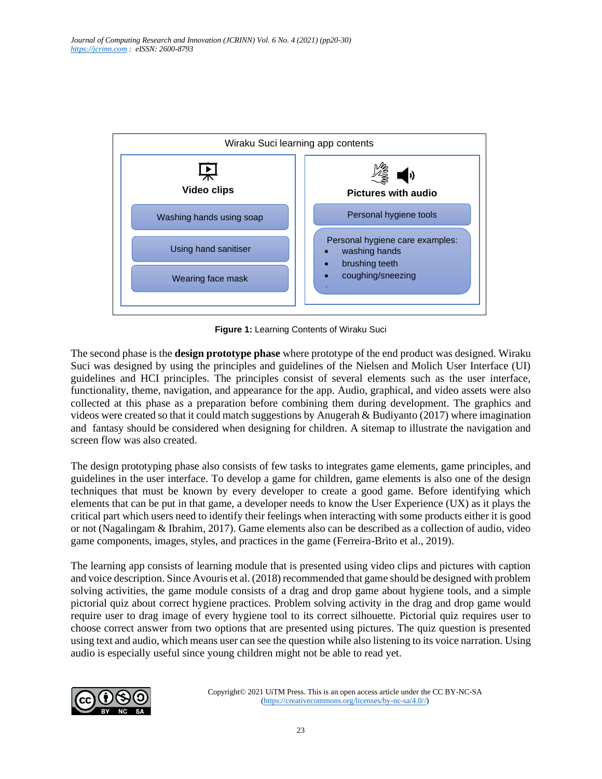

**Figure 1:** Learning Contents of Wiraku Suci

The second phase is the **design prototype phase** where prototype of the end product was designed. Wiraku Suci was designed by using the principles and guidelines of the Nielsen and Molich User Interface (UI) guidelines and HCI principles. The principles consist of several elements such as the user interface, functionality, theme, navigation, and appearance for the app. Audio, graphical, and video assets were also collected at this phase as a preparation before combining them during development. The graphics and videos were created so that it could match suggestions by Anugerah & Budiyanto (2017) where imagination and fantasy should be considered when designing for children. A sitemap to illustrate the navigation and screen flow was also created.

The design prototyping phase also consists of few tasks to integrates game elements, game principles, and guidelines in the user interface. To develop a game for children, game elements is also one of the design techniques that must be known by every developer to create a good game. Before identifying which elements that can be put in that game, a developer needs to know the User Experience (UX) as it plays the critical part which users need to identify their feelings when interacting with some products either it is good or not (Nagalingam & Ibrahim, 2017). Game elements also can be described as a collection of audio, video game components, images, styles, and practices in the game (Ferreira-Brito et al., 2019).

The learning app consists of learning module that is presented using video clips and pictures with caption and voice description. Since Avouris et al. (2018) recommended that game should be designed with problem solving activities, the game module consists of a drag and drop game about hygiene tools, and a simple pictorial quiz about correct hygiene practices. Problem solving activity in the drag and drop game would require user to drag image of every hygiene tool to its correct silhouette. Pictorial quiz requires user to choose correct answer from two options that are presented using pictures. The quiz question is presented using text and audio, which means user can see the question while also listening to its voice narration. Using audio is especially useful since young children might not be able to read yet.

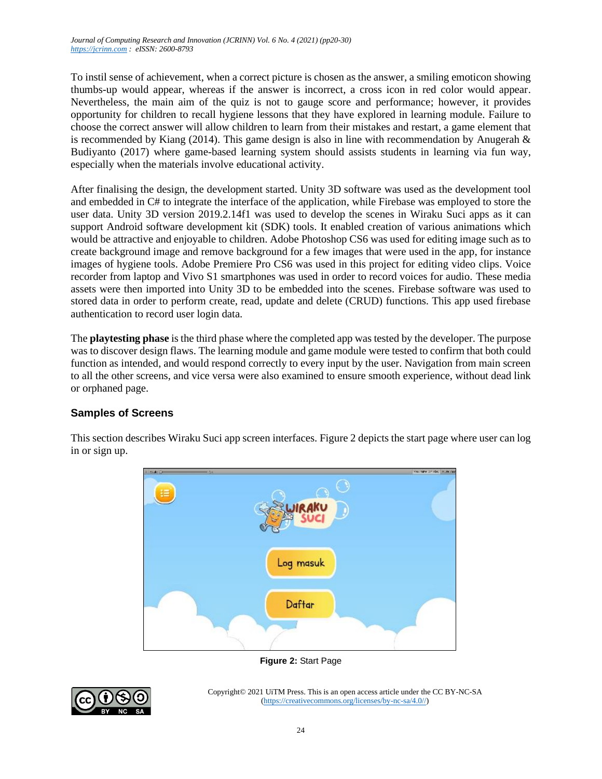To instil sense of achievement, when a correct picture is chosen as the answer, a smiling emoticon showing thumbs-up would appear, whereas if the answer is incorrect, a cross icon in red color would appear. Nevertheless, the main aim of the quiz is not to gauge score and performance; however, it provides opportunity for children to recall hygiene lessons that they have explored in learning module. Failure to choose the correct answer will allow children to learn from their mistakes and restart, a game element that is recommended by Kiang (2014). This game design is also in line with recommendation by Anugerah  $\&$ Budiyanto (2017) where game-based learning system should assists students in learning via fun way, especially when the materials involve educational activity.

After finalising the design, the development started. Unity 3D software was used as the development tool and embedded in C# to integrate the interface of the application, while Firebase was employed to store the user data. Unity 3D version 2019.2.14f1 was used to develop the scenes in Wiraku Suci apps as it can support Android software development kit (SDK) tools. It enabled creation of various animations which would be attractive and enjoyable to children. Adobe Photoshop CS6 was used for editing image such as to create background image and remove background for a few images that were used in the app, for instance images of hygiene tools. Adobe Premiere Pro CS6 was used in this project for editing video clips. Voice recorder from laptop and Vivo S1 smartphones was used in order to record voices for audio. These media assets were then imported into Unity 3D to be embedded into the scenes. Firebase software was used to stored data in order to perform create, read, update and delete (CRUD) functions. This app used firebase authentication to record user login data.

The **playtesting phase** is the third phase where the completed app was tested by the developer. The purpose was to discover design flaws. The learning module and game module were tested to confirm that both could function as intended, and would respond correctly to every input by the user. Navigation from main screen to all the other screens, and vice versa were also examined to ensure smooth experience, without dead link or orphaned page.

### **Samples of Screens**

This section describes Wiraku Suci app screen interfaces. Figure 2 depicts the start page where user can log in or sign up.



**Figure 2:** Start Page

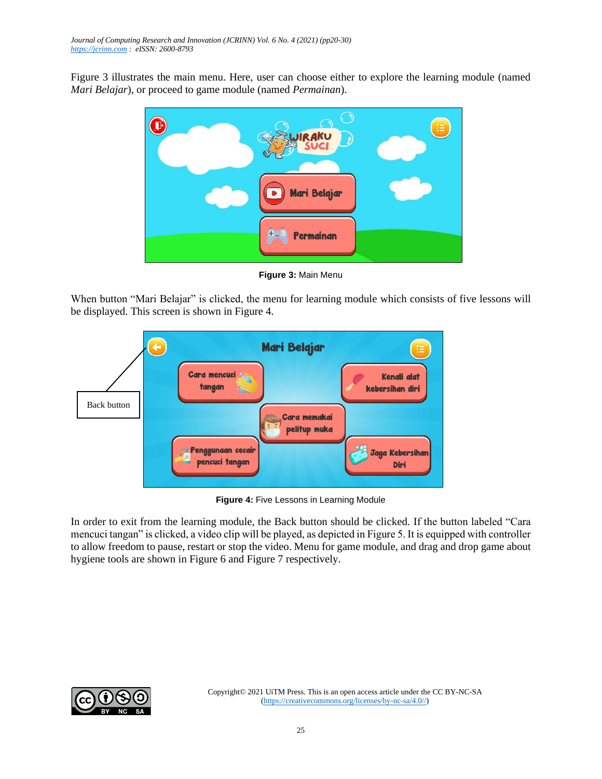Figure 3 illustrates the main menu. Here, user can choose either to explore the learning module (named *Mari Belajar*), or proceed to game module (named *Permainan*).



**Figure 3:** Main Menu

When button "Mari Belajar" is clicked, the menu for learning module which consists of five lessons will be displayed. This screen is shown in Figure 4.



**Figure 4:** Five Lessons in Learning Module

In order to exit from the learning module, the Back button should be clicked. If the button labeled "Cara mencuci tangan" is clicked, a video clip will be played, as depicted in Figure 5. It is equipped with controller to allow freedom to pause, restart or stop the video. Menu for game module, and drag and drop game about hygiene tools are shown in Figure 6 and Figure 7 respectively.

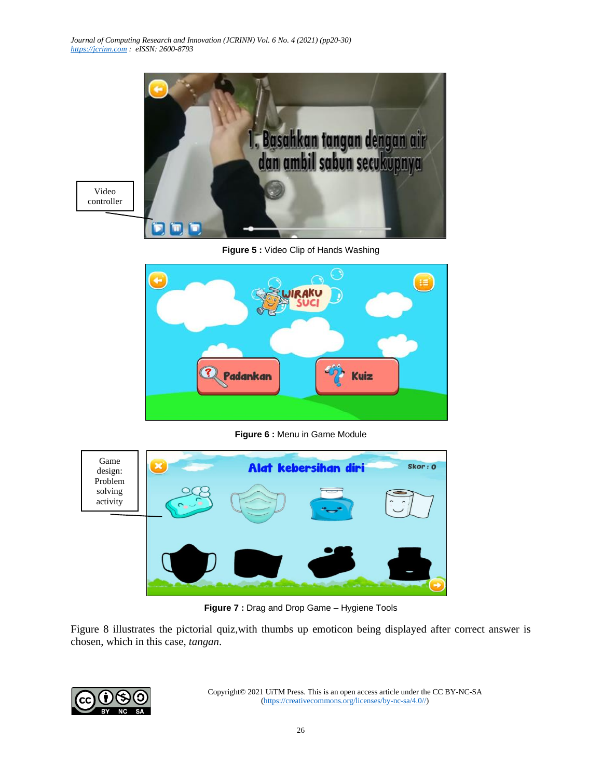

**Figure 5 :** Video Clip of Hands Washing



**Figure 6 :** Menu in Game Module



**Figure 7 :** Drag and Drop Game – Hygiene Tools

Figure 8 illustrates the pictorial quiz,with thumbs up emoticon being displayed after correct answer is chosen, which in this case, *tangan*.

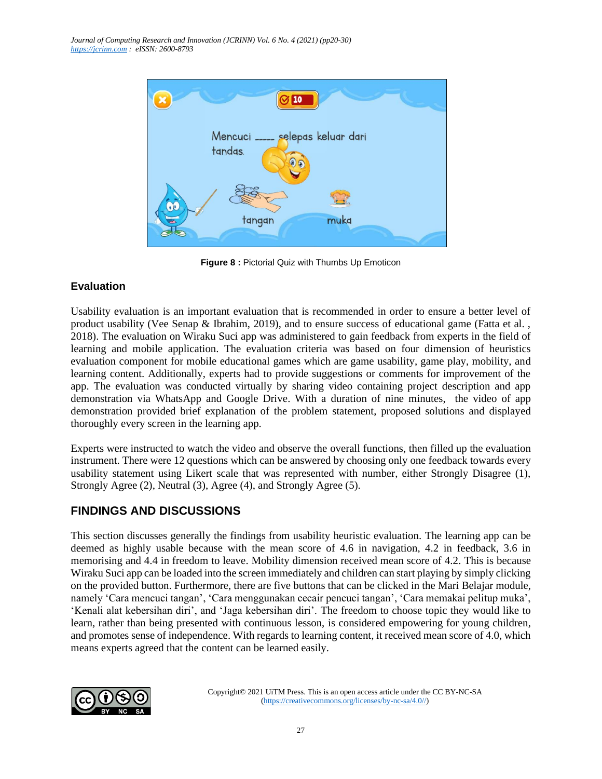

**Figure 8 :** Pictorial Quiz with Thumbs Up Emoticon

### **Evaluation**

Usability evaluation is an important evaluation that is recommended in order to ensure a better level of product usability (Vee Senap & Ibrahim, 2019), and to ensure success of educational game (Fatta et al. , 2018). The evaluation on Wiraku Suci app was administered to gain feedback from experts in the field of learning and mobile application. The evaluation criteria was based on four dimension of heuristics evaluation component for mobile educational games which are game usability, game play, mobility, and learning content. Additionally, experts had to provide suggestions or comments for improvement of the app. The evaluation was conducted virtually by sharing video containing project description and app demonstration via WhatsApp and Google Drive. With a duration of nine minutes, the video of app demonstration provided brief explanation of the problem statement, proposed solutions and displayed thoroughly every screen in the learning app.

Experts were instructed to watch the video and observe the overall functions, then filled up the evaluation instrument. There were 12 questions which can be answered by choosing only one feedback towards every usability statement using Likert scale that was represented with number, either Strongly Disagree (1), Strongly Agree (2), Neutral (3), Agree (4), and Strongly Agree (5).

## **FINDINGS AND DISCUSSIONS**

This section discusses generally the findings from usability heuristic evaluation. The learning app can be deemed as highly usable because with the mean score of 4.6 in navigation, 4.2 in feedback, 3.6 in memorising and 4.4 in freedom to leave. Mobility dimension received mean score of 4.2. This is because Wiraku Suci app can be loaded into the screen immediately and children can start playing by simply clicking on the provided button. Furthermore, there are five buttons that can be clicked in the Mari Belajar module, namely 'Cara mencuci tangan', 'Cara menggunakan cecair pencuci tangan', 'Cara memakai pelitup muka', 'Kenali alat kebersihan diri', and 'Jaga kebersihan diri'. The freedom to choose topic they would like to learn, rather than being presented with continuous lesson, is considered empowering for young children, and promotes sense of independence. With regards to learning content, it received mean score of 4.0, which means experts agreed that the content can be learned easily.

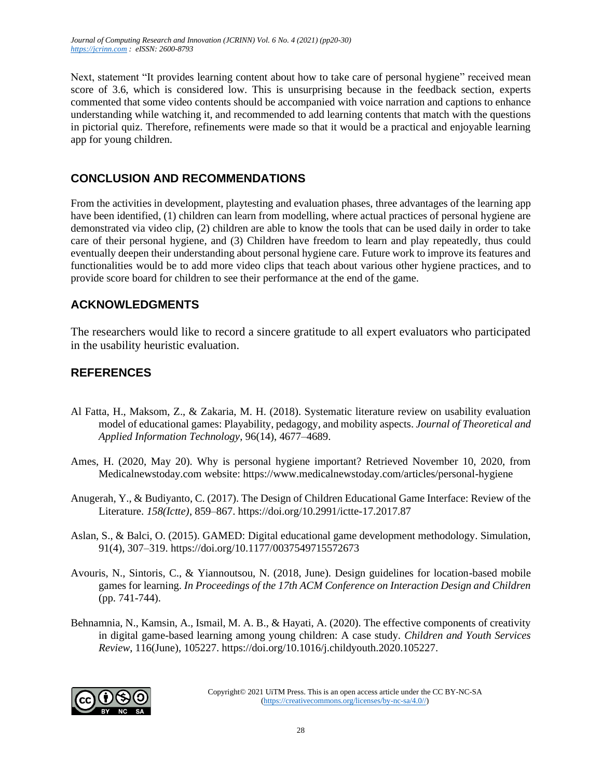Next, statement "It provides learning content about how to take care of personal hygiene" received mean score of 3.6, which is considered low. This is unsurprising because in the feedback section, experts commented that some video contents should be accompanied with voice narration and captions to enhance understanding while watching it, and recommended to add learning contents that match with the questions in pictorial quiz. Therefore, refinements were made so that it would be a practical and enjoyable learning app for young children.

## **CONCLUSION AND RECOMMENDATIONS**

From the activities in development, playtesting and evaluation phases, three advantages of the learning app have been identified, (1) children can learn from modelling, where actual practices of personal hygiene are demonstrated via video clip, (2) children are able to know the tools that can be used daily in order to take care of their personal hygiene, and (3) Children have freedom to learn and play repeatedly, thus could eventually deepen their understanding about personal hygiene care. Future work to improve its features and functionalities would be to add more video clips that teach about various other hygiene practices, and to provide score board for children to see their performance at the end of the game.

## **ACKNOWLEDGMENTS**

The researchers would like to record a sincere gratitude to all expert evaluators who participated in the usability heuristic evaluation.

## **REFERENCES**

- Al Fatta, H., Maksom, Z., & Zakaria, M. H. (2018). Systematic literature review on usability evaluation model of educational games: Playability, pedagogy, and mobility aspects. *Journal of Theoretical and Applied Information Technology*, 96(14), 4677–4689.
- Ames, H. (2020, May 20). Why is personal hygiene important? Retrieved November 10, 2020, from Medicalnewstoday.com website: https://www.medicalnewstoday.com/articles/personal-hygiene
- Anugerah, Y., & Budiyanto, C. (2017). The Design of Children Educational Game Interface: Review of the Literature. *158(Ictte)*, 859–867. https://doi.org/10.2991/ictte-17.2017.87
- Aslan, S., & Balci, O. (2015). GAMED: Digital educational game development methodology. Simulation, 91(4), 307–319. https://doi.org/10.1177/0037549715572673
- Avouris, N., Sintoris, C., & Yiannoutsou, N. (2018, June). Design guidelines for location-based mobile games for learning. *In Proceedings of the 17th ACM Conference on Interaction Design and Children* (pp. 741-744).
- Behnamnia, N., Kamsin, A., Ismail, M. A. B., & Hayati, A. (2020). The effective components of creativity in digital game-based learning among young children: A case study. *Children and Youth Services Review*, 116(June), 105227. https://doi.org/10.1016/j.childyouth.2020.105227.

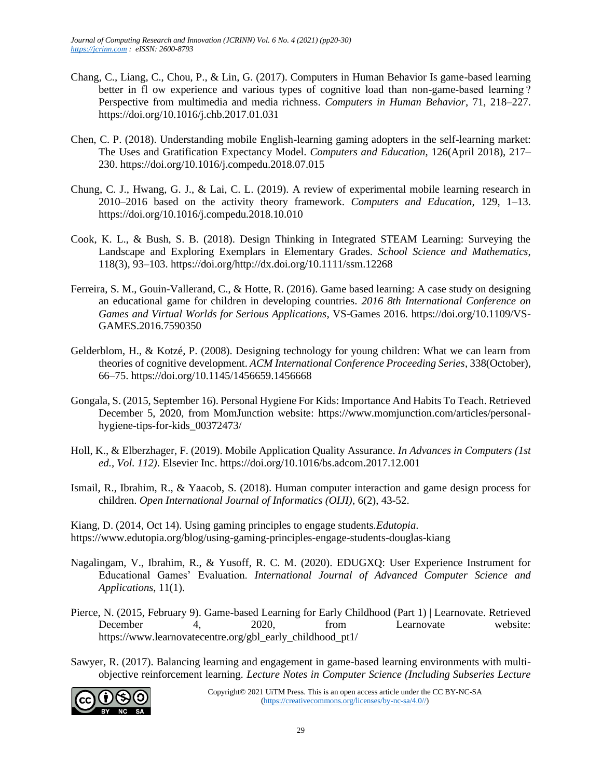- Chang, C., Liang, C., Chou, P., & Lin, G. (2017). Computers in Human Behavior Is game-based learning better in fl ow experience and various types of cognitive load than non-game-based learning ? Perspective from multimedia and media richness. *Computers in Human Behavior*, 71, 218–227. https://doi.org/10.1016/j.chb.2017.01.031
- Chen, C. P. (2018). Understanding mobile English-learning gaming adopters in the self-learning market: The Uses and Gratification Expectancy Model. *Computers and Education*, 126(April 2018), 217– 230. https://doi.org/10.1016/j.compedu.2018.07.015
- Chung, C. J., Hwang, G. J., & Lai, C. L. (2019). A review of experimental mobile learning research in 2010–2016 based on the activity theory framework. *Computers and Education*, 129, 1–13. https://doi.org/10.1016/j.compedu.2018.10.010
- Cook, K. L., & Bush, S. B. (2018). Design Thinking in Integrated STEAM Learning: Surveying the Landscape and Exploring Exemplars in Elementary Grades. *School Science and Mathematics*, 118(3), 93–103. https://doi.org/http://dx.doi.org/10.1111/ssm.12268
- Ferreira, S. M., Gouin-Vallerand, C., & Hotte, R. (2016). Game based learning: A case study on designing an educational game for children in developing countries. *2016 8th International Conference on Games and Virtual Worlds for Serious Applications*, VS-Games 2016. https://doi.org/10.1109/VS-GAMES.2016.7590350
- Gelderblom, H., & Kotzé, P. (2008). Designing technology for young children: What we can learn from theories of cognitive development. *ACM International Conference Proceeding Series*, 338(October), 66–75. https://doi.org/10.1145/1456659.1456668
- Gongala, S. (2015, September 16). Personal Hygiene For Kids: Importance And Habits To Teach. Retrieved December 5, 2020, from MomJunction website: https://www.momjunction.com/articles/personalhygiene-tips-for-kids\_00372473/
- Holl, K., & Elberzhager, F. (2019). Mobile Application Quality Assurance. *In Advances in Computers (1st ed., Vol. 112)*. Elsevier Inc. https://doi.org/10.1016/bs.adcom.2017.12.001
- Ismail, R., Ibrahim, R., & Yaacob, S. (2018). Human computer interaction and game design process for children. *Open International Journal of Informatics (OIJI)*, 6(2), 43-52.

Kiang, D. (2014, Oct 14). Using gaming principles to engage students*.Edutopia*. https://www.edutopia.org/blog/using-gaming-principles-engage-students-douglas-kiang

- Nagalingam, V., Ibrahim, R., & Yusoff, R. C. M. (2020). EDUGXQ: User Experience Instrument for Educational Games' Evaluation. *International Journal of Advanced Computer Science and Applications*, 11(1).
- Pierce, N. (2015, February 9). Game-based Learning for Early Childhood (Part 1) | Learnovate. Retrieved December 4, 2020, from Learnovate website: https://www.learnovatecentre.org/gbl\_early\_childhood\_pt1/
- Sawyer, R. (2017). Balancing learning and engagement in game-based learning environments with multiobjective reinforcement learning. *Lecture Notes in Computer Science (Including Subseries Lecture*